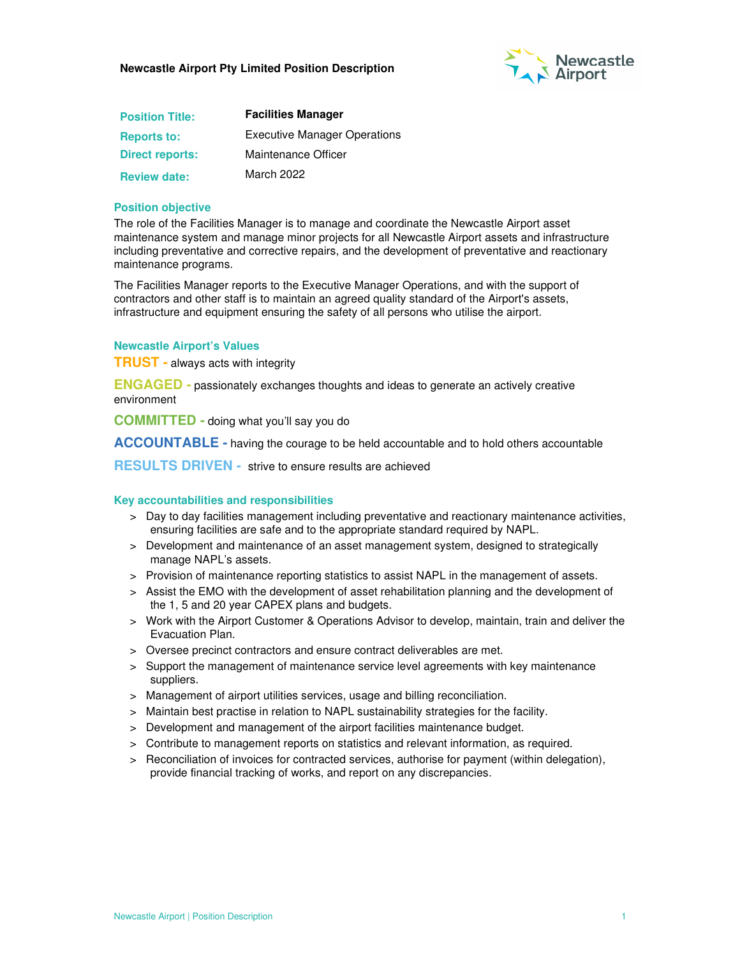

| <b>Position Title:</b> | <b>Facilities Manager</b>           |  |
|------------------------|-------------------------------------|--|
| <b>Reports to:</b>     | <b>Executive Manager Operations</b> |  |
| <b>Direct reports:</b> | Maintenance Officer                 |  |
| <b>Review date:</b>    | March 2022                          |  |

## **Position objective**

The role of the Facilities Manager is to manage and coordinate the Newcastle Airport asset maintenance system and manage minor projects for all Newcastle Airport assets and infrastructure including preventative and corrective repairs, and the development of preventative and reactionary maintenance programs.

The Facilities Manager reports to the Executive Manager Operations, and with the support of contractors and other staff is to maintain an agreed quality standard of the Airport's assets, infrastructure and equipment ensuring the safety of all persons who utilise the airport.

## **Newcastle Airport's Values**

**TRUST -** always acts with integrity

**ENGAGED -** passionately exchanges thoughts and ideas to generate an actively creative environment

**COMMITTED -** doing what you'll say you do

**ACCOUNTABLE -** having the courage to be held accountable and to hold others accountable

**RESULTS DRIVEN -** strive to ensure results are achieved

#### **Key accountabilities and responsibilities**

- > Day to day facilities management including preventative and reactionary maintenance activities, ensuring facilities are safe and to the appropriate standard required by NAPL.
- > Development and maintenance of an asset management system, designed to strategically manage NAPL's assets.
- > Provision of maintenance reporting statistics to assist NAPL in the management of assets.
- > Assist the EMO with the development of asset rehabilitation planning and the development of the 1, 5 and 20 year CAPEX plans and budgets.
- > Work with the Airport Customer & Operations Advisor to develop, maintain, train and deliver the Evacuation Plan.
- > Oversee precinct contractors and ensure contract deliverables are met.
- > Support the management of maintenance service level agreements with key maintenance suppliers.
- > Management of airport utilities services, usage and billing reconciliation.
- > Maintain best practise in relation to NAPL sustainability strategies for the facility.
- > Development and management of the airport facilities maintenance budget.
- > Contribute to management reports on statistics and relevant information, as required.
- > Reconciliation of invoices for contracted services, authorise for payment (within delegation), provide financial tracking of works, and report on any discrepancies.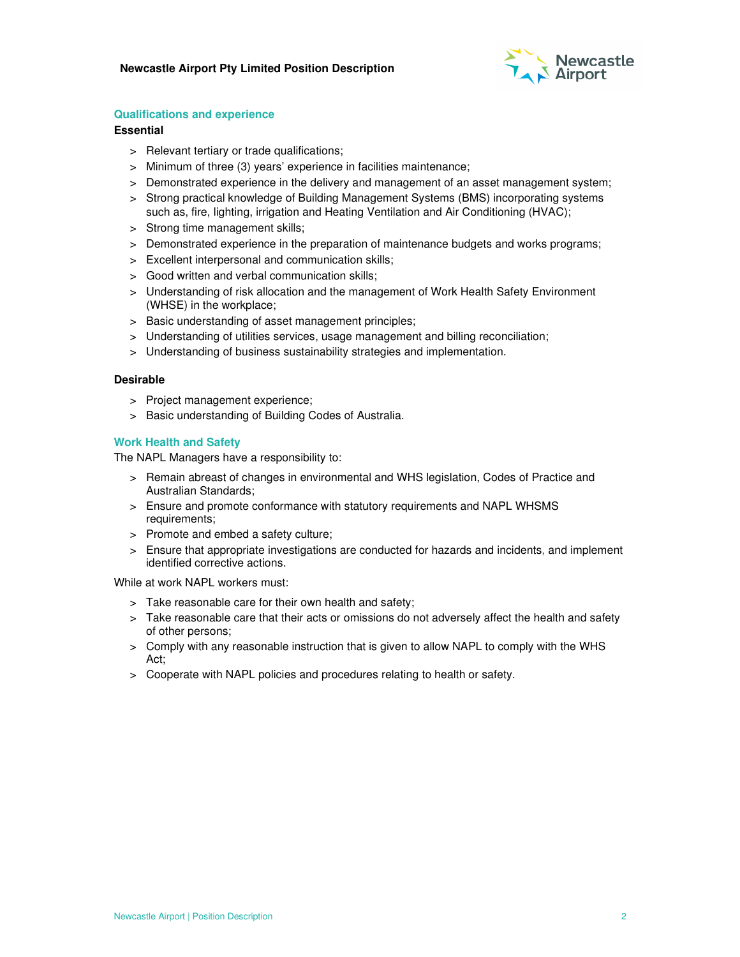

## **Qualifications and experience**

## **Essential**

- > Relevant tertiary or trade qualifications;
- > Minimum of three (3) years' experience in facilities maintenance;
- > Demonstrated experience in the delivery and management of an asset management system;
- > Strong practical knowledge of Building Management Systems (BMS) incorporating systems such as, fire, lighting, irrigation and Heating Ventilation and Air Conditioning (HVAC);
- > Strong time management skills;
- > Demonstrated experience in the preparation of maintenance budgets and works programs;
- > Excellent interpersonal and communication skills;
- > Good written and verbal communication skills;
- > Understanding of risk allocation and the management of Work Health Safety Environment (WHSE) in the workplace;
- > Basic understanding of asset management principles;
- > Understanding of utilities services, usage management and billing reconciliation;
- > Understanding of business sustainability strategies and implementation.

#### **Desirable**

- > Project management experience;
- > Basic understanding of Building Codes of Australia.

## **Work Health and Safety**

The NAPL Managers have a responsibility to:

- > Remain abreast of changes in environmental and WHS legislation, Codes of Practice and Australian Standards;
- > Ensure and promote conformance with statutory requirements and NAPL WHSMS requirements;
- > Promote and embed a safety culture;
- > Ensure that appropriate investigations are conducted for hazards and incidents, and implement identified corrective actions.

While at work NAPL workers must:

- > Take reasonable care for their own health and safety;
- > Take reasonable care that their acts or omissions do not adversely affect the health and safety of other persons;
- > Comply with any reasonable instruction that is given to allow NAPL to comply with the WHS Act;
- > Cooperate with NAPL policies and procedures relating to health or safety.